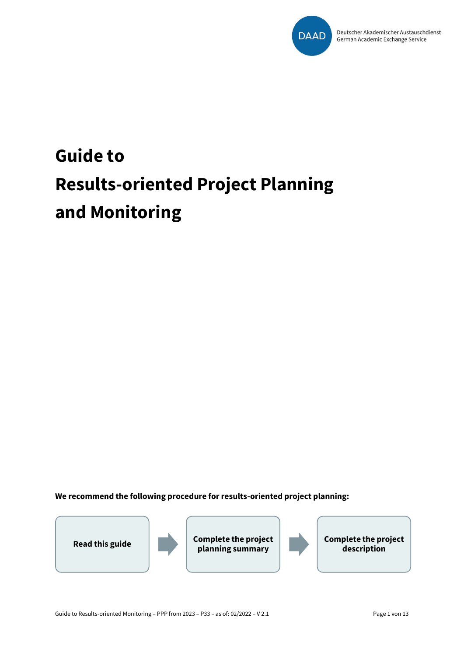

# **Guide to Results-oriented Project Planning and Monitoring**

**We recommend the following procedure for results-oriented project planning:**



**Read this guide Complete the project planning summary**



**Complete the project description**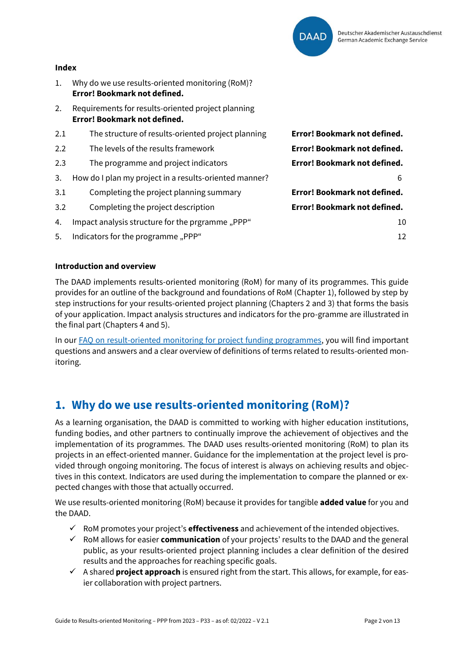

#### **Index**

- 1. Why do we use results-oriented monitoring (RoM)? **Error! Bookmark not defined.**
- 2. Requirements for results-oriented project planning **Error! Bookmark not defined.**

| 2.1 | The structure of results-oriented project planning     | Error! Bookmark not defined. |
|-----|--------------------------------------------------------|------------------------------|
| 2.2 | The levels of the results framework                    | Error! Bookmark not defined. |
| 2.3 | The programme and project indicators                   | Error! Bookmark not defined. |
| 3.  | How do I plan my project in a results-oriented manner? | 6                            |
| 3.1 | Completing the project planning summary                | Error! Bookmark not defined. |
| 3.2 | Completing the project description                     | Error! Bookmark not defined. |
| 4.  | Impact analysis structure for the prgramme "PPP"       | 10                           |
| 5.  | Indicators for the programme, PPP"                     | 12                           |

#### **Introduction and overview**

The DAAD implements results-oriented monitoring (RoM) for many of its programmes. This guide provides for an outline of the background and foundations of RoM (Chapter 1), followed by step by step instructions for your results-oriented project planning (Chapters 2 and 3) that forms the basis of your application. Impact analysis structures and indicators for the pro-gramme are illustrated in the final part (Chapters 4 and 5).

In our [FAQ on result-oriented monitoring for project funding programmes,](https://static.daad.de/media/daad_de/pdfs_nicht_barrierefrei/der-daad/wer-wir-sind/faq_wom.pdf) you will find important questions and answers and a clear overview of definitions of terms related to results-oriented monitoring.

# **1. Why do we use results-oriented monitoring (RoM)?**

As a learning organisation, the DAAD is committed to working with higher education institutions, funding bodies, and other partners to continually improve the achievement of objectives and the implementation of its programmes. The DAAD uses results-oriented monitoring (RoM) to plan its projects in an effect-oriented manner. Guidance for the implementation at the project level is provided through ongoing monitoring. The focus of interest is always on achieving results and objectives in this context. Indicators are used during the implementation to compare the planned or expected changes with those that actually occurred.

We use results-oriented monitoring (RoM) because it provides for tangible **added value** for you and the DAAD.

- ✓ RoM promotes your project's **effectiveness** and achievement of the intended objectives.
- ✓ RoM allows for easier **communication** of your projects' results to the DAAD and the general public, as your results-oriented project planning includes a clear definition of the desired results and the approaches for reaching specific goals.
- ✓ A shared **project approach** is ensured right from the start. This allows, for example, for easier collaboration with project partners.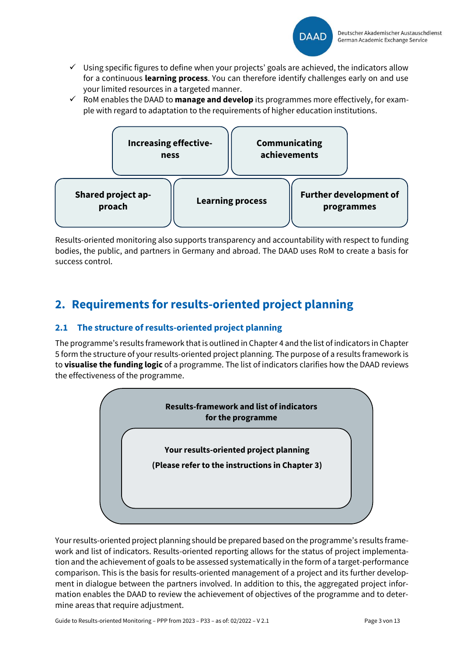

- $\checkmark$  Using specific figures to define when your projects' goals are achieved, the indicators allow for a continuous **learning process**. You can therefore identify challenges early on and use your limited resources in a targeted manner.
- ✓ RoM enables the DAAD to **manage and develop** its programmes more effectively, for example with regard to adaptation to the requirements of higher education institutions.



Results-oriented monitoring also supports transparency and accountability with respect to funding bodies, the public, and partners in Germany and abroad. The DAAD uses RoM to create a basis for success control.

# **2. Requirements for results-oriented project planning**

# **2.1 The structure of results-oriented project planning**

The programme's results framework that is outlined in Chapter 4 and the list of indicators in Chapter 5 form the structure of your results-oriented project planning. The purpose of a results framework is to **visualise the funding logic** of a programme. The list of indicators clarifies how the DAAD reviews the effectiveness of the programme.



Your results-oriented project planning should be prepared based on the programme's results framework and list of indicators. Results-oriented reporting allows for the status of project implementation and the achievement of goals to be assessed systematically in the form of a target-performance comparison. This is the basis for results-oriented management of a project and its further development in dialogue between the partners involved. In addition to this, the aggregated project information enables the DAAD to review the achievement of objectives of the programme and to determine areas that require adjustment.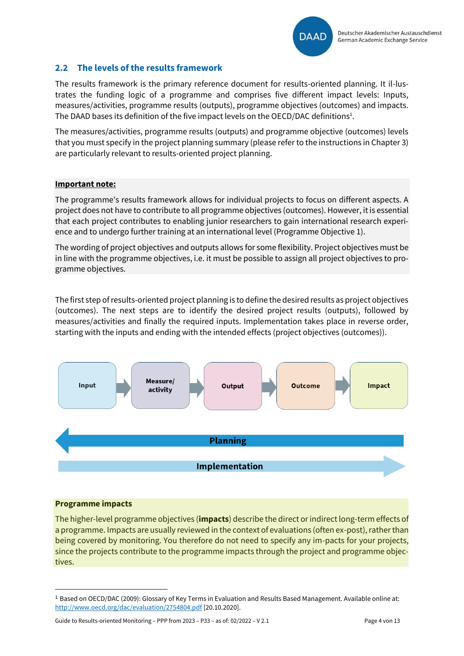

## **2.2 The levels of the results framework**

The results framework is the primary reference document for results-oriented planning. It il-lustrates the funding logic of a programme and comprises five different impact levels: Inputs, measures/activities, programme results (outputs), programme objectives (outcomes) and impacts. The DAAD bases its definition of the five impact levels on the OECD/DAC definitions<sup>1</sup>.

The measures/activities, programme results (outputs) and programme objective (outcomes) levels that you must specify in the project planning summary (please refer to the instructions in Chapter 3) are particularly relevant to results-oriented project planning.

#### **Important note:**

The programme's results framework allows for individual projects to focus on different aspects. A project does not have to contribute to all programme objectives (outcomes). However, it is essential that each project contributes to enabling junior researchers to gain international research experience and to undergo further training at an international level (Programme Objective 1).

The wording of project objectives and outputs allows for some flexibility. Project objectives must be in line with the programme objectives, i.e. it must be possible to assign all project objectives to programme objectives.

The first step of results-oriented project planning is to define the desired results as project objectives (outcomes). The next steps are to identify the desired project results (outputs), followed by measures/activities and finally the required inputs. Implementation takes place in reverse order, starting with the inputs and ending with the intended effects (project objectives (outcomes)).



#### **Programme impacts**

The higher-level programme objectives (**impacts**) describe the direct or indirect long-term effects of a programme. Impacts are usually reviewed in the context of evaluations (often ex-post), rather than being covered by monitoring. You therefore do not need to specify any im-pacts for your projects, since the projects contribute to the programme impacts through the project and programme objectives.

<sup>1</sup> Based on OECD/DAC (2009): Glossary of Key Terms in Evaluation and Results Based Management. Available online at: <http://www.oecd.org/dac/evaluation/2754804.pdf> [20.10.2020].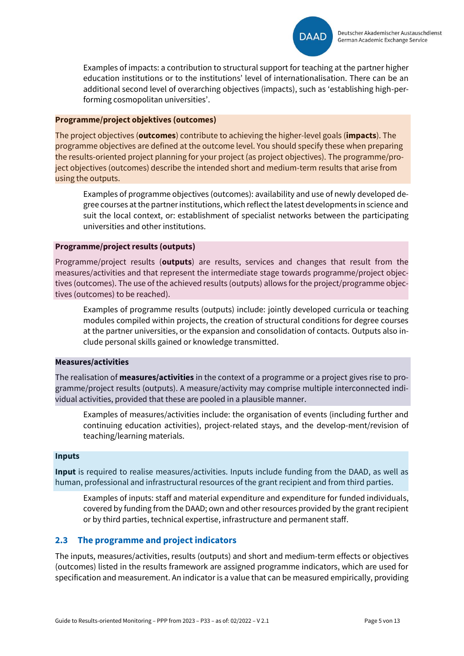

Examples of impacts: a contribution to structural support for teaching at the partner higher education institutions or to the institutions' level of internationalisation. There can be an additional second level of overarching objectives (impacts), such as 'establishing high-performing cosmopolitan universities'.

#### **Programme/project objektives (outcomes)**

The project objectives (**outcomes**) contribute to achieving the higher-level goals (**impacts**). The programme objectives are defined at the outcome level. You should specify these when preparing the results-oriented project planning for your project (as project objectives). The programme/project objectives (outcomes) describe the intended short and medium-term results that arise from using the outputs.

Examples of programme objectives (outcomes): availability and use of newly developed degree courses at the partner institutions, which reflect the latest developments in science and suit the local context, or: establishment of specialist networks between the participating universities and other institutions.

#### **Programme/project results (outputs)**

Programme/project results (**outputs**) are results, services and changes that result from the measures/activities and that represent the intermediate stage towards programme/project objectives (outcomes). The use of the achieved results (outputs) allows for the project/programme objectives (outcomes) to be reached).

Examples of programme results (outputs) include: jointly developed curricula or teaching modules compiled within projects, the creation of structural conditions for degree courses at the partner universities, or the expansion and consolidation of contacts. Outputs also include personal skills gained or knowledge transmitted.

#### **Measures/activities**

The realisation of **measures/activities** in the context of a programme or a project gives rise to programme/project results (outputs). A measure/activity may comprise multiple interconnected individual activities, provided that these are pooled in a plausible manner.

Examples of measures/activities include: the organisation of events (including further and continuing education activities), project-related stays, and the develop-ment/revision of teaching/learning materials.

#### **Inputs**

**Input** is required to realise measures/activities. Inputs include funding from the DAAD, as well as human, professional and infrastructural resources of the grant recipient and from third parties.

Examples of inputs: staff and material expenditure and expenditure for funded individuals, covered by funding from the DAAD; own and other resources provided by the grant recipient or by third parties, technical expertise, infrastructure and permanent staff.

# **2.3 The programme and project indicators**

The inputs, measures/activities, results (outputs) and short and medium-term effects or objectives (outcomes) listed in the results framework are assigned programme indicators, which are used for specification and measurement. An indicator is a value that can be measured empirically, providing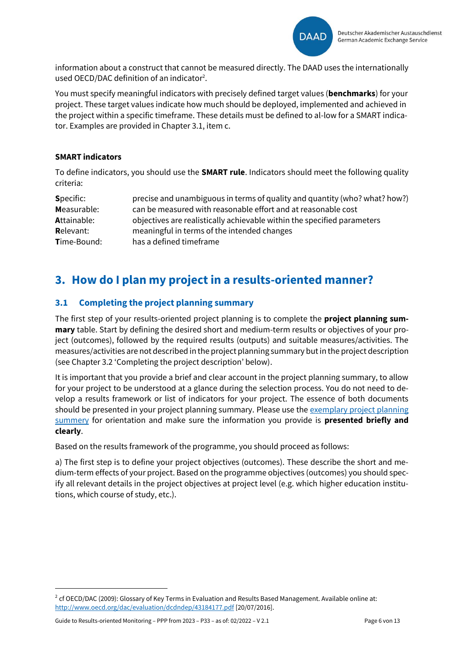

information about a construct that cannot be measured directly. The DAAD uses the internationally used OECD/DAC definition of an indicator<sup>2</sup>.

You must specify meaningful indicators with precisely defined target values (**benchmarks**) for your project. These target values indicate how much should be deployed, implemented and achieved in the project within a specific timeframe. These details must be defined to al-low for a SMART indicator. Examples are provided in Chapter 3.1, item c.

#### **SMART indicators**

To define indicators, you should use the **SMART rule**. Indicators should meet the following quality criteria:

| <b>Specific:</b>   | precise and unambiguous in terms of quality and quantity (who? what? how?) |
|--------------------|----------------------------------------------------------------------------|
| Measurable:        | can be measured with reasonable effort and at reasonable cost              |
| <b>Attainable:</b> | objectives are realistically achievable within the specified parameters    |
| <b>Relevant:</b>   | meaningful in terms of the intended changes                                |
| <b>Time-Bound:</b> | has a defined timeframe                                                    |

# <span id="page-5-0"></span>**3. How do I plan my project in a results-oriented manner?**

## **3.1 Completing the project planning summary**

The first step of your results-oriented project planning is to complete the **project planning summary** table. Start by defining the desired short and medium-term results or objectives of your project (outcomes), followed by the required results (outputs) and suitable measures/activities. The measures/activities are not described in the project planning summary but in the project description (see Chapter 3.2 'Completing the project description' below).

It is important that you provide a brief and clear account in the project planning summary, to allow for your project to be understood at a glance during the selection process. You do not need to develop a results framework or list of indicators for your project. The essence of both documents should be presented in your project planning summary. Please use th[e exemplary project planning](https://static.daad.de/media/daad_de/pdfs_nicht_barrierefrei/der-daad/wer-wir-sind/aa_und_bmbf_projektplanungs%C3%BCbericht_beispiel.pdf)  [summery](https://static.daad.de/media/daad_de/pdfs_nicht_barrierefrei/der-daad/wer-wir-sind/aa_und_bmbf_projektplanungs%C3%BCbericht_beispiel.pdf) for orientation and make sure the information you provide is **presented briefly and clearly**.

Based on the results framework of the programme, you should proceed as follows:

a) The first step is to define your project objectives (outcomes). These describe the short and medium-term effects of your project. Based on the programme objectives (outcomes) you should specify all relevant details in the project objectives at project level (e.g. which higher education institutions, which course of study, etc.).

 $^2$  cf OECD/DAC (2009): Glossary of Key Terms in Evaluation and Results Based Management. Available online at: <http://www.oecd.org/dac/evaluation/dcdndep/43184177.pdf> [20/07/2016].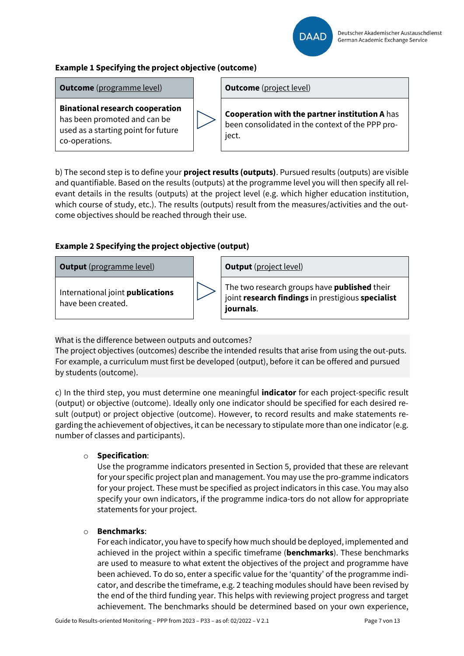

# **Example 1 Specifying the project objective (outcome)**

**Outcome** (programme level) **Dutcome** (project level)

**Binational research cooperation** has been promoted and can be used as a starting point for future co-operations.

**Cooperation with the partner institution A** has been consolidated in the context of the PPP project.

b) The second step is to define your **project results (outputs)**. Pursued results (outputs) are visible and quantifiable. Based on the results (outputs) at the programme level you will then specify all relevant details in the results (outputs) at the project level (e.g. which higher education institution, which course of study, etc.). The results (outputs) result from the measures/activities and the outcome objectives should be reached through their use.

## **Example 2 Specifying the project objective (output)**



International joint **publications** have been created.



The two research groups have **published** their joint **research findings** in prestigious **specialist journals**.

What is the difference between outputs and outcomes?

The project objectives (outcomes) describe the intended results that arise from using the out-puts. For example, a curriculum must first be developed (output), before it can be offered and pursued by students (outcome).

c) In the third step, you must determine one meaningful **indicator** for each project-specific result (output) or objective (outcome). Ideally only one indicator should be specified for each desired result (output) or project objective (outcome). However, to record results and make statements regarding the achievement of objectives, it can be necessary to stipulate more than one indicator (e.g. number of classes and participants).

### o **Specification**:

Use the programme indicators presented in Section 5, provided that these are relevant for your specific project plan and management. You may use the pro-gramme indicators for your project. These must be specified as project indicators in this case. You may also specify your own indicators, if the programme indica-tors do not allow for appropriate statements for your project.

### o **Benchmarks**:

For each indicator, you have to specify how much should be deployed, implemented and achieved in the project within a specific timeframe (**benchmarks**). These benchmarks are used to measure to what extent the objectives of the project and programme have been achieved. To do so, enter a specific value for the 'quantity' of the programme indicator, and describe the timeframe, e.g. 2 teaching modules should have been revised by the end of the third funding year. This helps with reviewing project progress and target achievement. The benchmarks should be determined based on your own experience,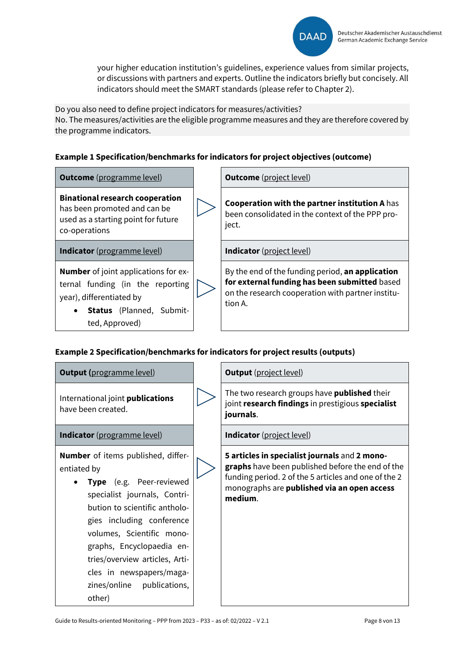

your higher education institution's guidelines, experience values from similar projects, or discussions with partners and experts. Outline the indicators briefly but concisely. All indicators should meet the SMART standards (please refer to Chapter 2).

Do you also need to define project indicators for measures/activities? No. The measures/activities are the eligible programme measures and they are therefore covered by the programme indicators.

## **Example 1 Specification/benchmarks for indicators for project objectives (outcome)**

**Outcome** (programme level) **Dutcome** (project level)

**Binational research cooperation** has been promoted and can be used as a starting point for future co-operations

**Indicator** (programme level) **Indicator** (project level)

**Number** of joint applications for external funding (in the reporting year), differentiated by



• **Status** (Planned, Submitted, Approved)

**Cooperation with the partner institution A** has been consolidated in the context of the PPP project.

By the end of the funding period, **an application for external funding has been submitted** based on the research cooperation with partner institution A.

# **Example 2 Specification/benchmarks for indicators for project results (outputs)**

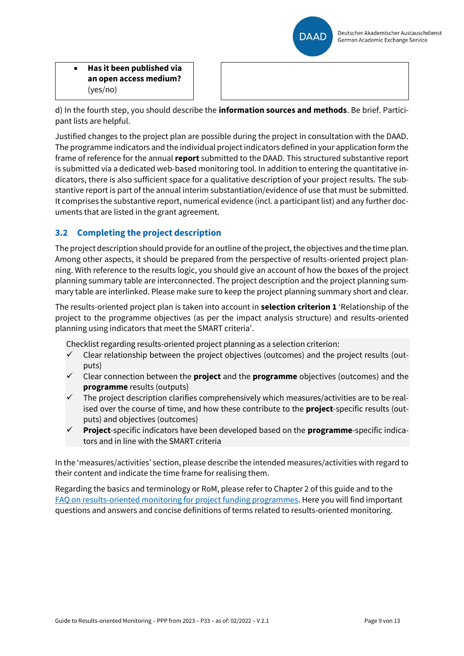

• **Has it been published via an open access medium?** (yes/no)

d) In the fourth step, you should describe the **information sources and methods**. Be brief. Participant lists are helpful.

Justified changes to the project plan are possible during the project in consultation with the DAAD. The programme indicators and the individual project indicators defined in your application form the frame of reference for the annual **report** submitted to the DAAD. This structured substantive report is submitted via a dedicated web-based monitoring tool. In addition to entering the quantitative indicators, there is also sufficient space for a qualitative description of your project results. The substantive report is part of the annual interim substantiation/evidence of use that must be submitted. It comprises the substantive report, numerical evidence (incl. a participant list) and any further documents that are listed in the grant agreement.

# **3.2 Completing the project description**

The project description should provide for an outline of the project, the objectives and the time plan. Among other aspects, it should be prepared from the perspective of results-oriented project planning. With reference to the results logic, you should give an account of how the boxes of the project planning summary table are interconnected. The project description and the project planning summary table are interlinked. Please make sure to keep the project planning summary short and clear.

The results-oriented project plan is taken into account in **selection criterion 1** 'Relationship of the project to the programme objectives (as per the impact analysis structure) and results-oriented planning using indicators that meet the SMART criteria'.

Checklist regarding results-oriented project planning as a selection criterion:

- $\checkmark$  Clear relationship between the project objectives (outcomes) and the project results (outputs)
- ✓ Clear connection between the **project** and the **programme** objectives (outcomes) and the **programme** results (outputs)
- The project description clarifies comprehensively which measures/activities are to be realised over the course of time, and how these contribute to the **project**-specific results (outputs) and objectives (outcomes)
- ✓ **Project**-specific indicators have been developed based on the **programme**-specific indicators and in line with the SMART criteria

In the 'measures/activities' section, please describe the intended measures/activities with regard to their content and indicate the time frame for realising them.

Regarding the basics and terminology or RoM, please refer to Chapter 2 of this guide and to the [FAQ on results-oriented monitoring for project funding programmes.](https://static.daad.de/media/daad_de/pdfs_nicht_barrierefrei/wom_faq_liste.pdf) Here you will find important questions and answers and concise definitions of terms related to results-oriented monitoring.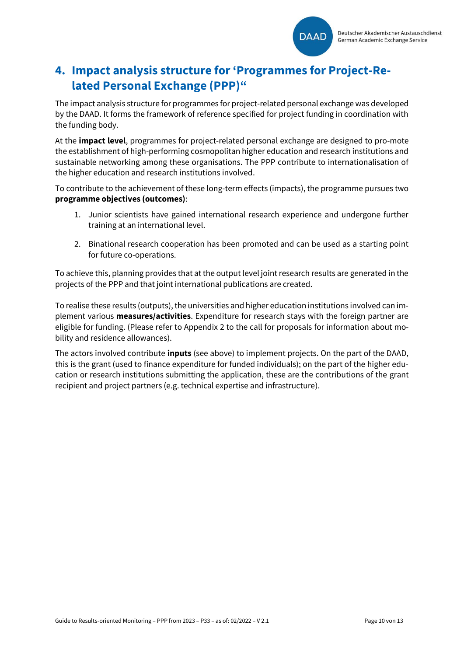

# <span id="page-9-0"></span>**4. Impact analysis structure for 'Programmes for Project-Related Personal Exchange (PPP)"**

The impact analysis structure for programmes for project-related personal exchange was developed by the DAAD. It forms the framework of reference specified for project funding in coordination with the funding body.

At the **impact level**, programmes for project-related personal exchange are designed to pro-mote the establishment of high-performing cosmopolitan higher education and research institutions and sustainable networking among these organisations. The PPP contribute to internationalisation of the higher education and research institutions involved.

To contribute to the achievement of these long-term effects (impacts), the programme pursues two **programme objectives (outcomes)**:

- 1. Junior scientists have gained international research experience and undergone further training at an international level.
- 2. Binational research cooperation has been promoted and can be used as a starting point for future co-operations.

To achieve this, planning provides that at the output level joint research results are generated in the projects of the PPP and that joint international publications are created.

To realise these results (outputs), the universities and higher education institutions involved can implement various **measures/activities**. Expenditure for research stays with the foreign partner are eligible for funding. (Please refer to Appendix 2 to the call for proposals for information about mobility and residence allowances).

The actors involved contribute **inputs** (see above) to implement projects. On the part of the DAAD, this is the grant (used to finance expenditure for funded individuals); on the part of the higher education or research institutions submitting the application, these are the contributions of the grant recipient and project partners (e.g. technical expertise and infrastructure).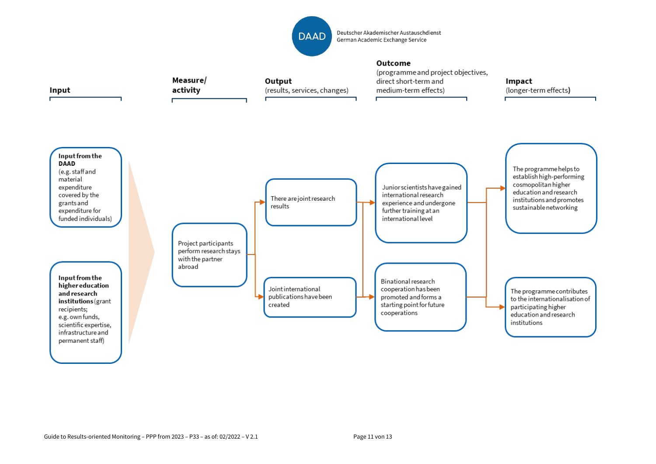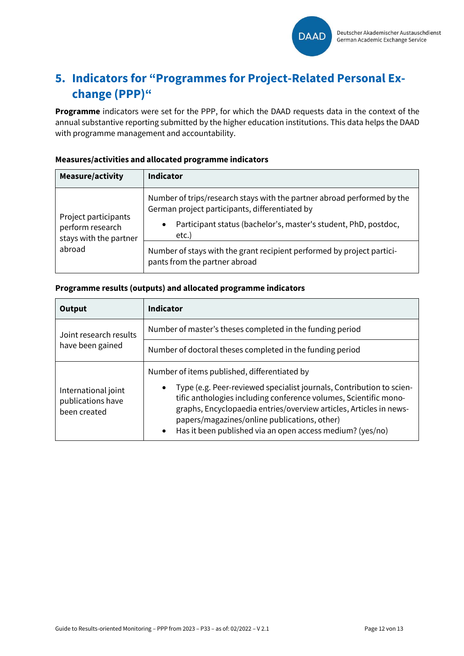

# <span id="page-11-0"></span>**5. Indicators for "Programmes for Project-Related Personal Exchange (PPP)"**

**Programme** indicators were set for the PPP, for which the DAAD requests data in the context of the annual substantive reporting submitted by the higher education institutions. This data helps the DAAD with programme management and accountability.

#### **Measure/activity Indicator** Project participants perform research stays with the partner abroad Number of trips/research stays with the partner abroad performed by the German project participants, differentiated by • Participant status (bachelor's, master's student, PhD, postdoc, etc.) Number of stays with the grant recipient performed by project participants from the partner abroad

## **Measures/activities and allocated programme indicators**

#### **Programme results (outputs) and allocated programme indicators**

| Output                                                   | <b>Indicator</b>                                                                                                                                                                                                                                                                                                                                                                                      |
|----------------------------------------------------------|-------------------------------------------------------------------------------------------------------------------------------------------------------------------------------------------------------------------------------------------------------------------------------------------------------------------------------------------------------------------------------------------------------|
| Joint research results                                   | Number of master's theses completed in the funding period                                                                                                                                                                                                                                                                                                                                             |
| have been gained                                         | Number of doctoral theses completed in the funding period                                                                                                                                                                                                                                                                                                                                             |
| International joint<br>publications have<br>been created | Number of items published, differentiated by<br>Type (e.g. Peer-reviewed specialist journals, Contribution to scien-<br>$\bullet$<br>tific anthologies including conference volumes, Scientific mono-<br>graphs, Encyclopaedia entries/overview articles, Articles in news-<br>papers/magazines/online publications, other)<br>Has it been published via an open access medium? (yes/no)<br>$\bullet$ |